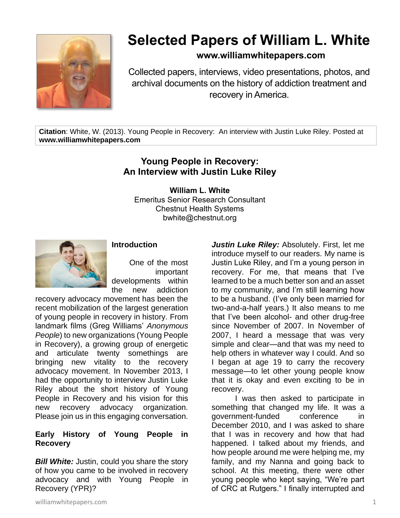

# **Selected Papers of William L. White**

### **www.williamwhitepapers.com**

Collected papers, interviews, video presentations, photos, and archival documents on the history of addiction treatment and recovery in America.

**Citation**: White, W. (2013). Young People in Recovery: An interview with Justin Luke Riley. Posted at **www.williamwhitepapers.com**

## **Young People in Recovery: An Interview with Justin Luke Riley**

**William L. White** Emeritus Senior Research Consultant Chestnut Health Systems bwhite@chestnut.org



#### **Introduction**

One of the most important developments within the new addiction

recovery advocacy movement has been the recent mobilization of the largest generation of young people in recovery in history. From landmark films (Greg Williams' *Anonymous People*) to new organizations (Young People in Recovery), a growing group of energetic and articulate twenty somethings are bringing new vitality to the recovery advocacy movement. In November 2013, I had the opportunity to interview Justin Luke Riley about the short history of Young People in Recovery and his vision for this new recovery advocacy organization. Please join us in this engaging conversation.

#### **Early History of Young People in Recovery**

**Bill White:** Justin, could you share the story of how you came to be involved in recovery advocacy and with Young People in Recovery (YPR)?

*Justin Luke Riley:* Absolutely. First, let me introduce myself to our readers. My name is Justin Luke Riley, and I'm a young person in recovery. For me, that means that I've learned to be a much better son and an asset to my community, and I'm still learning how to be a husband. (I've only been married for two-and-a-half years.) It also means to me that I've been alcohol- and other drug-free since November of 2007. In November of 2007, I heard a message that was very simple and clear—and that was my need to help others in whatever way I could. And so I began at age 19 to carry the recovery message—to let other young people know that it is okay and even exciting to be in recovery.

I was then asked to participate in something that changed my life. It was a government-funded conference in December 2010, and I was asked to share that I was in recovery and how that had happened. I talked about my friends, and how people around me were helping me, my family, and my Nanna and going back to school. At this meeting, there were other young people who kept saying, "We're part of CRC at Rutgers." I finally interrupted and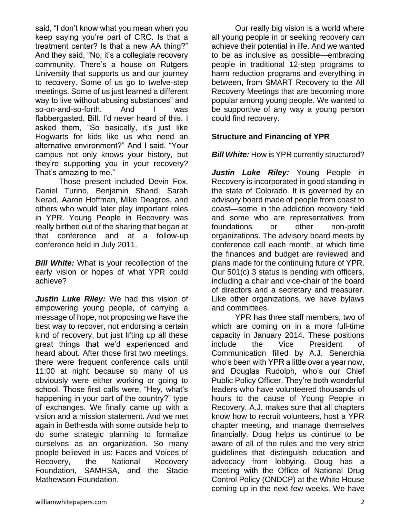said, "I don't know what you mean when you keep saying you're part of CRC. Is that a treatment center? Is that a new AA thing?" And they said, "No, it's a collegiate recovery community. There's a house on Rutgers University that supports us and our journey to recovery. Some of us go to twelve-step meetings. Some of us just learned a different way to live without abusing substances" and so-on-and-so-forth. And I was flabbergasted, Bill. I'd never heard of this. I asked them, "So basically, it's just like Hogwarts for kids like us who need an alternative environment?" And I said, "Your campus not only knows your history, but they're supporting you in your recovery? That's amazing to me."

Those present included Devin Fox, Daniel Turino, Benjamin Shand, Sarah Nerad, Aaron Hoffman, Mike Deagros, and others who would later play important roles in YPR. Young People in Recovery was really birthed out of the sharing that began at that conference and at a follow-up conference held in July 2011.

**Bill White:** What is your recollection of the early vision or hopes of what YPR could achieve?

*Justin Luke Riley:* We had this vision of empowering young people, of carrying a message of hope, not proposing we have the best way to recover, not endorsing a certain kind of recovery, but just lifting up all these great things that we'd experienced and heard about. After those first two meetings, there were frequent conference calls until 11:00 at night because so many of us obviously were either working or going to school. Those first calls were, "Hey, what's happening in your part of the country?" type of exchanges. We finally came up with a vision and a mission statement. And we met again in Bethesda with some outside help to do some strategic planning to formalize ourselves as an organization. So many people believed in us: Faces and Voices of Recovery, the National Recovery Foundation, SAMHSA, and the Stacie Mathewson Foundation.

Our really big vision is a world where all young people in or seeking recovery can achieve their potential in life. And we wanted to be as inclusive as possible—embracing people in traditional 12-step programs to harm reduction programs and everything in between, from SMART Recovery to the All Recovery Meetings that are becoming more popular among young people. We wanted to be supportive of any way a young person could find recovery.

#### **Structure and Financing of YPR**

#### **Bill White:** How is YPR currently structured?

Justin Luke Riley: Young People in Recovery is incorporated in good standing in the state of Colorado. It is governed by an advisory board made of people from coast to coast—some in the addiction recovery field and some who are representatives from foundations or other non-profit organizations. The advisory board meets by conference call each month, at which time the finances and budget are reviewed and plans made for the continuing future of YPR. Our 501(c) 3 status is pending with officers, including a chair and vice-chair of the board of directors and a secretary and treasurer. Like other organizations, we have bylaws and committees.

YPR has three staff members, two of which are coming on in a more full-time capacity in January 2014. These positions include the Vice President of Communication filled by A.J. Senerchia who's been with YPR a little over a year now, and Douglas Rudolph, who's our Chief Public Policy Officer. They're both wonderful leaders who have volunteered thousands of hours to the cause of Young People in Recovery. A.J. makes sure that all chapters know how to recruit volunteers, host a YPR chapter meeting, and manage themselves financially. Doug helps us continue to be aware of all of the rules and the very strict guidelines that distinguish education and advocacy from lobbying. Doug has a meeting with the Office of National Drug Control Policy (ONDCP) at the White House coming up in the next few weeks. We have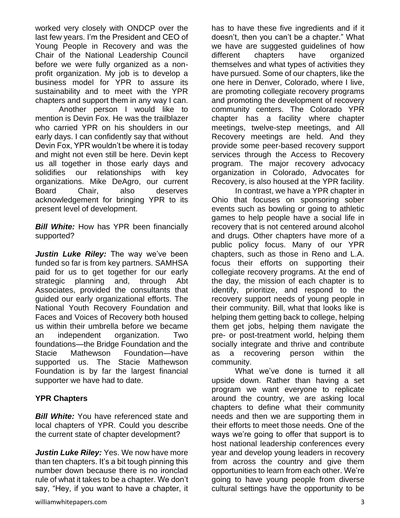worked very closely with ONDCP over the last few years. I'm the President and CEO of Young People in Recovery and was the Chair of the National Leadership Council before we were fully organized as a nonprofit organization. My job is to develop a business model for YPR to assure its sustainability and to meet with the YPR chapters and support them in any way I can.

Another person I would like to mention is Devin Fox. He was the trailblazer who carried YPR on his shoulders in our early days. I can confidently say that without Devin Fox, YPR wouldn't be where it is today and might not even still be here. Devin kept us all together in those early days and solidifies our relationships with key organizations. Mike DeAgro, our current Board Chair, also deserves acknowledgement for bringing YPR to its present level of development.

**Bill White:** How has YPR been financially supported?

*Justin Luke Riley:* The way we've been funded so far is from key partners. SAMHSA paid for us to get together for our early strategic planning and, through Abt Associates, provided the consultants that guided our early organizational efforts. The National Youth Recovery Foundation and Faces and Voices of Recovery both housed us within their umbrella before we became an independent organization. Two foundations—the Bridge Foundation and the Stacie Mathewson Foundation—have supported us. The Stacie Mathewson Foundation is by far the largest financial supporter we have had to date.

#### **YPR Chapters**

**Bill White:** You have referenced state and local chapters of YPR. Could you describe the current state of chapter development?

*Justin Luke Riley:* Yes. We now have more than ten chapters. It's a bit tough pinning this number down because there is no ironclad rule of what it takes to be a chapter. We don't say, "Hey, if you want to have a chapter, it has to have these five ingredients and if it doesn't, then you can't be a chapter." What we have are suggested guidelines of how different chapters have organized themselves and what types of activities they have pursued. Some of our chapters, like the one here in Denver, Colorado, where I live, are promoting collegiate recovery programs and promoting the development of recovery community centers. The Colorado YPR chapter has a facility where chapter meetings, twelve-step meetings, and All Recovery meetings are held. And they provide some peer-based recovery support services through the Access to Recovery program. The major recovery advocacy organization in Colorado, Advocates for Recovery, is also housed at the YPR facility.

In contrast, we have a YPR chapter in Ohio that focuses on sponsoring sober events such as bowling or going to athletic games to help people have a social life in recovery that is not centered around alcohol and drugs. Other chapters have more of a public policy focus. Many of our YPR chapters, such as those in Reno and L.A. focus their efforts on supporting their collegiate recovery programs. At the end of the day, the mission of each chapter is to identify, prioritize, and respond to the recovery support needs of young people in their community. Bill, what that looks like is helping them getting back to college, helping them get jobs, helping them navigate the pre- or post-treatment world, helping them socially integrate and thrive and contribute as a recovering person within the community.

What we've done is turned it all upside down. Rather than having a set program we want everyone to replicate around the country, we are asking local chapters to define what their community needs and then we are supporting them in their efforts to meet those needs. One of the ways we're going to offer that support is to host national leadership conferences every year and develop young leaders in recovery from across the country and give them opportunities to learn from each other. We're going to have young people from diverse cultural settings have the opportunity to be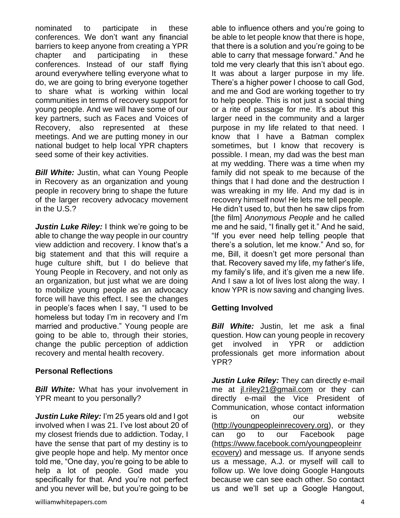nominated to participate in these conferences. We don't want any financial barriers to keep anyone from creating a YPR chapter and participating in these conferences. Instead of our staff flying around everywhere telling everyone what to do, we are going to bring everyone together to share what is working within local communities in terms of recovery support for young people. And we will have some of our key partners, such as Faces and Voices of Recovery, also represented at these meetings. And we are putting money in our national budget to help local YPR chapters seed some of their key activities.

**Bill White:** Justin, what can Young People in Recovery as an organization and young people in recovery bring to shape the future of the larger recovery advocacy movement in the U.S.?

*Justin Luke Riley:* I think we're going to be able to change the way people in our country view addiction and recovery. I know that's a big statement and that this will require a huge culture shift, but I do believe that Young People in Recovery, and not only as an organization, but just what we are doing to mobilize young people as an advocacy force will have this effect. I see the changes in people's faces when I say, "I used to be homeless but today I'm in recovery and I'm married and productive." Young people are going to be able to, through their stories, change the public perception of addiction recovery and mental health recovery.

#### **Personal Reflections**

**Bill White:** What has your involvement in YPR meant to you personally?

*Justin Luke Riley:* I'm 25 years old and I got involved when I was 21. I've lost about 20 of my closest friends due to addiction. Today, I have the sense that part of my destiny is to give people hope and help. My mentor once told me, "One day, you're going to be able to help a lot of people. God made you specifically for that. And you're not perfect and you never will be, but you're going to be

able to influence others and you're going to be able to let people know that there is hope, that there is a solution and you're going to be able to carry that message forward." And he told me very clearly that this isn't about ego. It was about a larger purpose in my life. There's a higher power I choose to call God, and me and God are working together to try to help people. This is not just a social thing or a rite of passage for me. It's about this larger need in the community and a larger purpose in my life related to that need. I know that I have a Batman complex sometimes, but I know that recovery is possible. I mean, my dad was the best man at my wedding. There was a time when my family did not speak to me because of the things that I had done and the destruction I was wreaking in my life. And my dad is in recovery himself now! He lets me tell people. He didn't used to, but then he saw clips from [the film] *Anonymous People* and he called me and he said, "I finally get it." And he said, "If you ever need help telling people that there's a solution, let me know." And so, for me, Bill, it doesn't get more personal than that. Recovery saved my life, my father's life, my family's life, and it's given me a new life. And I saw a lot of lives lost along the way. I know YPR is now saving and changing lives.

#### **Getting Involved**

*Bill White:* Justin, let me ask a final question. How can young people in recovery get involved in YPR or addiction professionals get more information about YPR?

Justin Luke Riley: They can directly e-mail me at [jl.riley21@gmail.com](mailto:jl.riley21@gmail.com) or they can directly e-mail the Vice President of Communication, whose contact information is on our website [\(http://youngpeopleinrecovery.org\)](http://youngpeopleinrecovery.org/), or they can go to our Facebook page [\(https://www.facebook.com/youngpeopleinr](https://www.facebook.com/youngpeopleinrecovery) [ecovery\)](https://www.facebook.com/youngpeopleinrecovery) and message us. If anyone sends us a message, A.J. or myself will call to follow up. We love doing Google Hangouts because we can see each other. So contact us and we'll set up a Google Hangout,